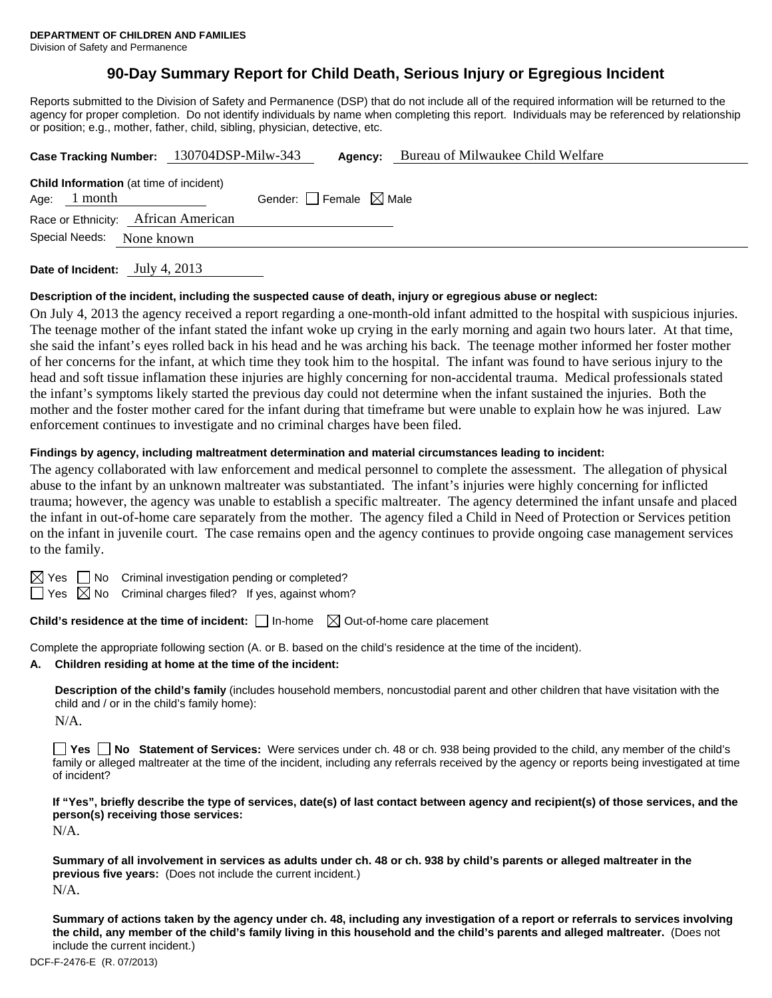# **90-Day Summary Report for Child Death, Serious Injury or Egregious Incident**

Reports submitted to the Division of Safety and Permanence (DSP) that do not include all of the required information will be returned to the agency for proper completion. Do not identify individuals by name when completing this report. Individuals may be referenced by relationship or position; e.g., mother, father, child, sibling, physician, detective, etc.

| Case Tracking Number: 130704DSP-Milw-343                         |            |                                 | Agency: | Bureau of Milwaukee Child Welfare |
|------------------------------------------------------------------|------------|---------------------------------|---------|-----------------------------------|
| <b>Child Information</b> (at time of incident)<br>Age: $1$ month |            | Gender: Female $\boxtimes$ Male |         |                                   |
| Race or Ethnicity: African American                              |            |                                 |         |                                   |
| Special Needs:                                                   | None known |                                 |         |                                   |
|                                                                  |            |                                 |         |                                   |

**Date of Incident:** July 4, 2013

#### **Description of the incident, including the suspected cause of death, injury or egregious abuse or neglect:**

On July 4, 2013 the agency received a report regarding a one-month-old infant admitted to the hospital with suspicious injuries. The teenage mother of the infant stated the infant woke up crying in the early morning and again two hours later. At that time, she said the infant's eyes rolled back in his head and he was arching his back. The teenage mother informed her foster mother of her concerns for the infant, at which time they took him to the hospital. The infant was found to have serious injury to the head and soft tissue inflamation these injuries are highly concerning for non-accidental trauma. Medical professionals stated the infant's symptoms likely started the previous day could not determine when the infant sustained the injuries. Both the mother and the foster mother cared for the infant during that timeframe but were unable to explain how he was injured. Law enforcement continues to investigate and no criminal charges have been filed.

#### **Findings by agency, including maltreatment determination and material circumstances leading to incident:**

The agency collaborated with law enforcement and medical personnel to complete the assessment. The allegation of physical abuse to the infant by an unknown maltreater was substantiated. The infant's injuries were highly concerning for inflicted trauma; however, the agency was unable to establish a specific maltreater. The agency determined the infant unsafe and placed the infant in out-of-home care separately from the mother. The agency filed a Child in Need of Protection or Services petition on the infant in juvenile court. The case remains open and the agency continues to provide ongoing case management services to the family.

 $\boxtimes$  Yes  $\Box$  No Criminal investigation pending or completed?

 $\Box$  Yes  $\boxtimes$  No Criminal charges filed? If yes, against whom?

# **Child's residence at the time of incident:**  $\Box$  In-home  $\Box$  Out-of-home care placement

Complete the appropriate following section (A. or B. based on the child's residence at the time of the incident).

**A. Children residing at home at the time of the incident:**

**Description of the child's family** (includes household members, noncustodial parent and other children that have visitation with the child and / or in the child's family home):

N/A.

**Yes No Statement of Services:** Were services under ch. 48 or ch. 938 being provided to the child, any member of the child's family or alleged maltreater at the time of the incident, including any referrals received by the agency or reports being investigated at time of incident?

**If "Yes", briefly describe the type of services, date(s) of last contact between agency and recipient(s) of those services, and the person(s) receiving those services:** 

N/A.

**Summary of all involvement in services as adults under ch. 48 or ch. 938 by child's parents or alleged maltreater in the previous five years:** (Does not include the current incident.) N/A.

**Summary of actions taken by the agency under ch. 48, including any investigation of a report or referrals to services involving the child, any member of the child's family living in this household and the child's parents and alleged maltreater.** (Does not include the current incident.)